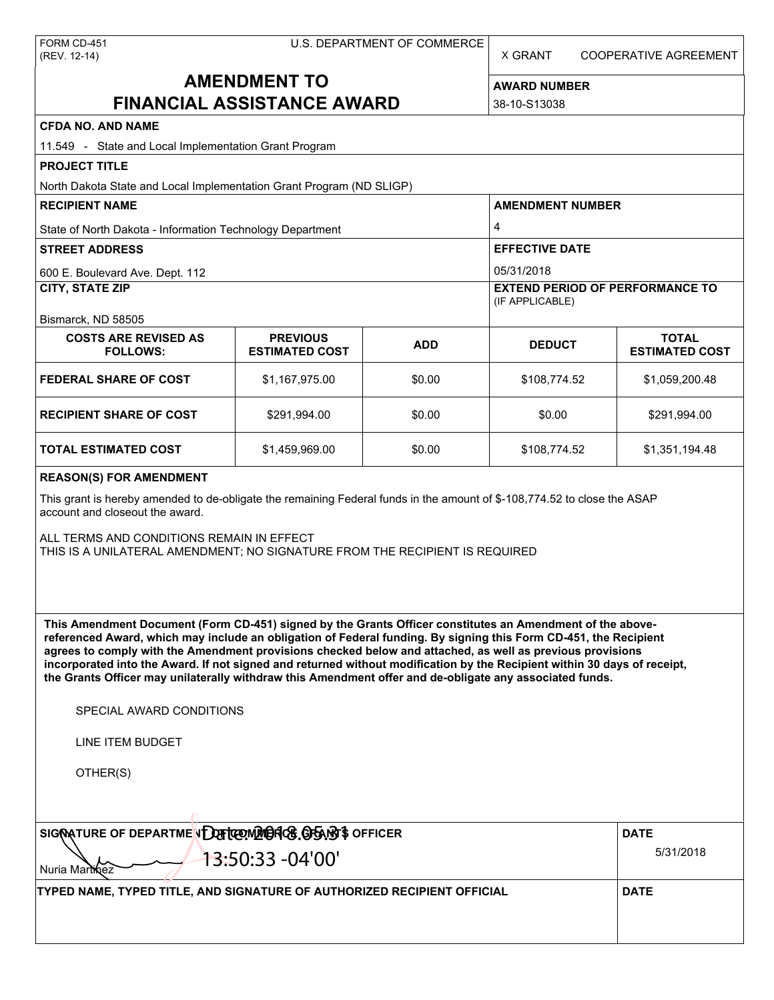X GRANT COOPERATIVE AGREEMENT

# **AMENDMENT TO FINANCIAL ASSISTANCE AWARD**

**AWARD NUMBER** 38-10-S13038

| <b>CFDA NO. AND NAME</b>                                                                                                                                                                                                                                                                                                                                                                                                                                                                                                                                                          |                                          |             |                                                                     |                                       |  |  |  |
|-----------------------------------------------------------------------------------------------------------------------------------------------------------------------------------------------------------------------------------------------------------------------------------------------------------------------------------------------------------------------------------------------------------------------------------------------------------------------------------------------------------------------------------------------------------------------------------|------------------------------------------|-------------|---------------------------------------------------------------------|---------------------------------------|--|--|--|
| 11.549 - State and Local Implementation Grant Program                                                                                                                                                                                                                                                                                                                                                                                                                                                                                                                             |                                          |             |                                                                     |                                       |  |  |  |
| <b>PROJECT TITLE</b>                                                                                                                                                                                                                                                                                                                                                                                                                                                                                                                                                              |                                          |             |                                                                     |                                       |  |  |  |
| North Dakota State and Local Implementation Grant Program (ND SLIGP)                                                                                                                                                                                                                                                                                                                                                                                                                                                                                                              |                                          |             |                                                                     |                                       |  |  |  |
| <b>RECIPIENT NAME</b>                                                                                                                                                                                                                                                                                                                                                                                                                                                                                                                                                             |                                          |             | <b>AMENDMENT NUMBER</b><br>4<br><b>EFFECTIVE DATE</b><br>05/31/2018 |                                       |  |  |  |
| State of North Dakota - Information Technology Department                                                                                                                                                                                                                                                                                                                                                                                                                                                                                                                         |                                          |             |                                                                     |                                       |  |  |  |
| <b>STREET ADDRESS</b>                                                                                                                                                                                                                                                                                                                                                                                                                                                                                                                                                             |                                          |             |                                                                     |                                       |  |  |  |
| 600 E. Boulevard Ave. Dept. 112                                                                                                                                                                                                                                                                                                                                                                                                                                                                                                                                                   |                                          |             |                                                                     |                                       |  |  |  |
| <b>CITY, STATE ZIP</b>                                                                                                                                                                                                                                                                                                                                                                                                                                                                                                                                                            |                                          |             | <b>EXTEND PERIOD OF PERFORMANCE TO</b><br>(IF APPLICABLE)           |                                       |  |  |  |
| Bismarck, ND 58505                                                                                                                                                                                                                                                                                                                                                                                                                                                                                                                                                                |                                          |             |                                                                     |                                       |  |  |  |
| <b>COSTS ARE REVISED AS</b><br><b>FOLLOWS:</b>                                                                                                                                                                                                                                                                                                                                                                                                                                                                                                                                    | <b>PREVIOUS</b><br><b>ESTIMATED COST</b> | <b>ADD</b>  | <b>DEDUCT</b>                                                       | <b>TOTAL</b><br><b>ESTIMATED COST</b> |  |  |  |
| <b>FEDERAL SHARE OF COST</b>                                                                                                                                                                                                                                                                                                                                                                                                                                                                                                                                                      | \$1,167,975.00                           | \$0.00      | \$108,774.52                                                        | \$1,059,200.48                        |  |  |  |
| <b>RECIPIENT SHARE OF COST</b>                                                                                                                                                                                                                                                                                                                                                                                                                                                                                                                                                    | \$291,994.00                             | \$0.00      | \$0.00                                                              | \$291,994.00                          |  |  |  |
| TOTAL ESTIMATED COST                                                                                                                                                                                                                                                                                                                                                                                                                                                                                                                                                              | \$1,459,969.00                           | \$0.00      | \$108,774.52                                                        | \$1,351,194.48                        |  |  |  |
| <b>REASON(S) FOR AMENDMENT</b>                                                                                                                                                                                                                                                                                                                                                                                                                                                                                                                                                    |                                          |             |                                                                     |                                       |  |  |  |
| This grant is hereby amended to de-obligate the remaining Federal funds in the amount of \$-108,774.52 to close the ASAP<br>account and closeout the award.                                                                                                                                                                                                                                                                                                                                                                                                                       |                                          |             |                                                                     |                                       |  |  |  |
| ALL TERMS AND CONDITIONS REMAIN IN EFFECT<br>THIS IS A UNILATERAL AMENDMENT; NO SIGNATURE FROM THE RECIPIENT IS REQUIRED                                                                                                                                                                                                                                                                                                                                                                                                                                                          |                                          |             |                                                                     |                                       |  |  |  |
| This Amendment Document (Form CD-451) signed by the Grants Officer constitutes an Amendment of the above-<br>referenced Award, which may include an obligation of Federal funding. By signing this Form CD-451, the Recipient<br>agrees to comply with the Amendment provisions checked below and attached, as well as previous provisions<br>incorporated into the Award. If not signed and returned without modification by the Recipient within 30 days of receipt,<br>the Grants Officer may unilaterally withdraw this Amendment offer and de-obligate any associated funds. |                                          |             |                                                                     |                                       |  |  |  |
| SPECIAL AWARD CONDITIONS                                                                                                                                                                                                                                                                                                                                                                                                                                                                                                                                                          |                                          |             |                                                                     |                                       |  |  |  |
| LINE ITEM BUDGET                                                                                                                                                                                                                                                                                                                                                                                                                                                                                                                                                                  |                                          |             |                                                                     |                                       |  |  |  |
| OTHER(S)                                                                                                                                                                                                                                                                                                                                                                                                                                                                                                                                                                          |                                          |             |                                                                     |                                       |  |  |  |
| SIGNATURE OF DEPARTMENDE TO THE MARKED GRAND'S OFFICER                                                                                                                                                                                                                                                                                                                                                                                                                                                                                                                            |                                          | <b>DATE</b> |                                                                     |                                       |  |  |  |
| 13:50:33 -04'00'<br>Nuria Martingz                                                                                                                                                                                                                                                                                                                                                                                                                                                                                                                                                | 5/31/2018                                |             |                                                                     |                                       |  |  |  |
| TYPED NAME, TYPED TITLE, AND SIGNATURE OF AUTHORIZED RECIPIENT OFFICIAL                                                                                                                                                                                                                                                                                                                                                                                                                                                                                                           |                                          |             |                                                                     | <b>DATE</b>                           |  |  |  |